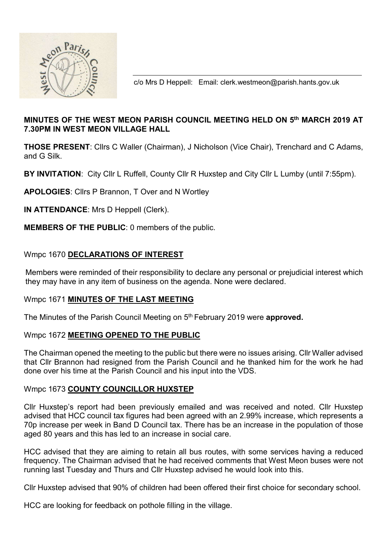

c/o Mrs D Heppell: Email: clerk.westmeon@parish.hants.gov.uk

# MINUTES OF THE WEST MEON PARISH COUNCIL MEETING HELD ON 5th MARCH 2019 AT 7.30PM IN WEST MEON VILLAGE HALL

THOSE PRESENT: Cllrs C Waller (Chairman), J Nicholson (Vice Chair), Trenchard and C Adams, and G Silk.

BY INVITATION: City Cllr L Ruffell, County Cllr R Huxstep and City Cllr L Lumby (until 7:55pm).

APOLOGIES: Cllrs P Brannon, T Over and N Wortley

IN ATTENDANCE: Mrs D Heppell (Clerk).

MEMBERS OF THE PUBLIC: 0 members of the public.

### Wmpc 1670 DECLARATIONS OF INTEREST

 Members were reminded of their responsibility to declare any personal or prejudicial interest which they may have in any item of business on the agenda. None were declared.

### Wmpc 1671 MINUTES OF THE LAST MEETING

The Minutes of the Parish Council Meeting on 5<sup>th</sup> February 2019 were **approved.** 

### Wmpc 1672 MEETING OPENED TO THE PUBLIC

The Chairman opened the meeting to the public but there were no issues arising. Cllr Waller advised that Cllr Brannon had resigned from the Parish Council and he thanked him for the work he had done over his time at the Parish Council and his input into the VDS.

### Wmpc 1673 COUNTY COUNCILLOR HUXSTEP

Cllr Huxstep's report had been previously emailed and was received and noted. Cllr Huxstep advised that HCC council tax figures had been agreed with an 2.99% increase, which represents a 70p increase per week in Band D Council tax. There has be an increase in the population of those aged 80 years and this has led to an increase in social care.

HCC advised that they are aiming to retain all bus routes, with some services having a reduced frequency. The Chairman advised that he had received comments that West Meon buses were not running last Tuesday and Thurs and Cllr Huxstep advised he would look into this.

Cllr Huxstep advised that 90% of children had been offered their first choice for secondary school.

HCC are looking for feedback on pothole filling in the village.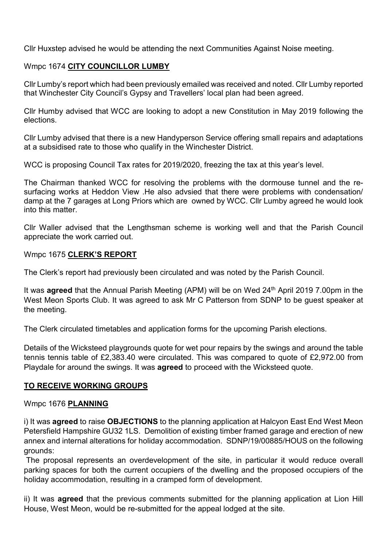Cllr Huxstep advised he would be attending the next Communities Against Noise meeting.

## Wmpc 1674 CITY COUNCILLOR LUMBY

Cllr Lumby's report which had been previously emailed was received and noted. Cllr Lumby reported that Winchester City Council's Gypsy and Travellers' local plan had been agreed.

Cllr Humby advised that WCC are looking to adopt a new Constitution in May 2019 following the elections.

Cllr Lumby advised that there is a new Handyperson Service offering small repairs and adaptations at a subsidised rate to those who qualify in the Winchester District.

WCC is proposing Council Tax rates for 2019/2020, freezing the tax at this year's level.

The Chairman thanked WCC for resolving the problems with the dormouse tunnel and the resurfacing works at Heddon View .He also advsied that there were problems with condensation/ damp at the 7 garages at Long Priors which are owned by WCC. Cllr Lumby agreed he would look into this matter.

Cllr Waller advised that the Lengthsman scheme is working well and that the Parish Council appreciate the work carried out.

#### Wmpc 1675 CLERK'S REPORT

The Clerk's report had previously been circulated and was noted by the Parish Council.

It was **agreed** that the Annual Parish Meeting (APM) will be on Wed 24<sup>th</sup> April 2019 7.00pm in the West Meon Sports Club. It was agreed to ask Mr C Patterson from SDNP to be guest speaker at the meeting.

The Clerk circulated timetables and application forms for the upcoming Parish elections.

Details of the Wicksteed playgrounds quote for wet pour repairs by the swings and around the table tennis tennis table of £2,383.40 were circulated. This was compared to quote of £2,972.00 from Playdale for around the swings. It was agreed to proceed with the Wicksteed quote.

### TO RECEIVE WORKING GROUPS

### Wmpc 1676 PLANNING

i) It was **agreed** to raise **OBJECTIONS** to the planning application at Halcyon East End West Meon Petersfield Hampshire GU32 1LS. Demolition of existing timber framed garage and erection of new annex and internal alterations for holiday accommodation. SDNP/19/00885/HOUS on the following grounds:

 The proposal represents an overdevelopment of the site, in particular it would reduce overall parking spaces for both the current occupiers of the dwelling and the proposed occupiers of the holiday accommodation, resulting in a cramped form of development.

ii) It was **agreed** that the previous comments submitted for the planning application at Lion Hill House, West Meon, would be re-submitted for the appeal lodged at the site.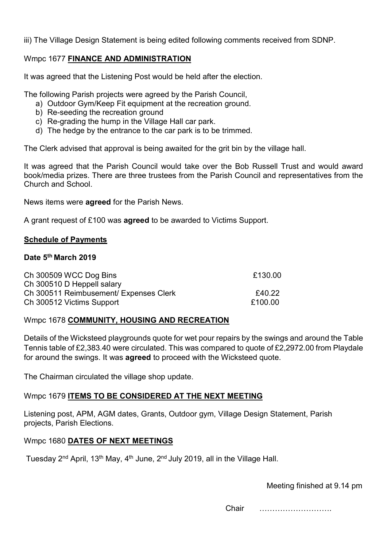iii) The Village Design Statement is being edited following comments received from SDNP.

## Wmpc 1677 FINANCE AND ADMINISTRATION

It was agreed that the Listening Post would be held after the election.

The following Parish projects were agreed by the Parish Council,

- a) Outdoor Gym/Keep Fit equipment at the recreation ground.
- b) Re-seeding the recreation ground
- c) Re-grading the hump in the Village Hall car park.
- d) The hedge by the entrance to the car park is to be trimmed.

The Clerk advised that approval is being awaited for the grit bin by the village hall.

It was agreed that the Parish Council would take over the Bob Russell Trust and would award book/media prizes. There are three trustees from the Parish Council and representatives from the Church and School.

News items were agreed for the Parish News.

A grant request of £100 was **agreed** to be awarded to Victims Support.

### Schedule of Payments

### Date 5<sup>th</sup> March 2019

| Ch 300509 WCC Dog Bins                 | £130.00 |
|----------------------------------------|---------|
| Ch 300510 D Heppell salary             |         |
| Ch 300511 Reimbusement/ Expenses Clerk | £40.22  |
| Ch 300512 Victims Support              | £100.00 |

### Wmpc 1678 COMMUNITY, HOUSING AND RECREATION

Details of the Wicksteed playgrounds quote for wet pour repairs by the swings and around the Table Tennis table of £2,383.40 were circulated. This was compared to quote of £2,2972.00 from Playdale for around the swings. It was **agreed** to proceed with the Wicksteed quote.

The Chairman circulated the village shop update.

## Wmpc 1679 ITEMS TO BE CONSIDERED AT THE NEXT MEETING

Listening post, APM, AGM dates, Grants, Outdoor gym, Village Design Statement, Parish projects, Parish Elections.

## Wmpc 1680 DATES OF NEXT MEETINGS

Tuesday 2<sup>nd</sup> April, 13<sup>th</sup> May, 4<sup>th</sup> June, 2<sup>nd</sup> July 2019, all in the Village Hall.

Meeting finished at 9.14 pm

Chair ……………………….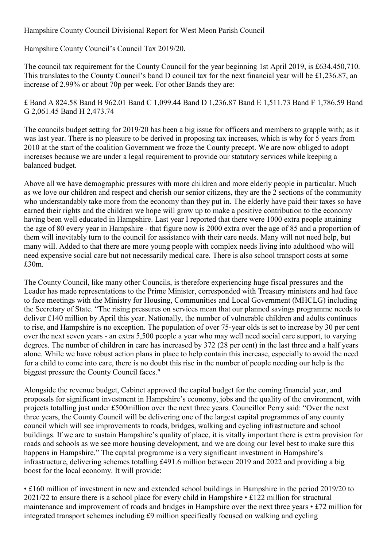Hampshire County Council Divisional Report for West Meon Parish Council

Hampshire County Council's Council Tax 2019/20.

The council tax requirement for the County Council for the year beginning 1st April 2019, is £634,450,710. This translates to the County Council's band D council tax for the next financial year will be £1,236.87, an increase of 2.99% or about 70p per week. For other Bands they are:

£ Band A 824.58 Band B 962.01 Band C 1,099.44 Band D 1,236.87 Band E 1,511.73 Band F 1,786.59 Band G 2,061.45 Band H 2,473.74

The councils budget setting for 2019/20 has been a big issue for officers and members to grapple with; as it was last year. There is no pleasure to be derived in proposing tax increases, which is why for 5 years from 2010 at the start of the coalition Government we froze the County precept. We are now obliged to adopt increases because we are under a legal requirement to provide our statutory services while keeping a balanced budget.

Above all we have demographic pressures with more children and more elderly people in particular. Much as we love our children and respect and cherish our senior citizens, they are the 2 sections of the community who understandably take more from the economy than they put in. The elderly have paid their taxes so have earned their rights and the children we hope will grow up to make a positive contribution to the economy having been well educated in Hampshire. Last year I reported that there were 1000 extra people attaining the age of 80 every year in Hampshire - that figure now is 2000 extra over the age of 85 and a proportion of them will inevitably turn to the council for assistance with their care needs. Many will not need help, but many will. Added to that there are more young people with complex needs living into adulthood who will need expensive social care but not necessarily medical care. There is also school transport costs at some £30m.

The County Council, like many other Councils, is therefore experiencing huge fiscal pressures and the Leader has made representations to the Prime Minister, corresponded with Treasury ministers and had face to face meetings with the Ministry for Housing, Communities and Local Government (MHCLG) including the Secretary of State. "The rising pressures on services mean that our planned savings programme needs to deliver £140 million by April this year. Nationally, the number of vulnerable children and adults continues to rise, and Hampshire is no exception. The population of over 75-year olds is set to increase by 30 per cent over the next seven years - an extra 5,500 people a year who may well need social care support, to varying degrees. The number of children in care has increased by 372 (28 per cent) in the last three and a half years alone. While we have robust action plans in place to help contain this increase, especially to avoid the need for a child to come into care, there is no doubt this rise in the number of people needing our help is the biggest pressure the County Council faces."

Alongside the revenue budget, Cabinet approved the capital budget for the coming financial year, and proposals for significant investment in Hampshire's economy, jobs and the quality of the environment, with projects totalling just under £500million over the next three years. Councillor Perry said: "Over the next three years, the County Council will be delivering one of the largest capital programmes of any county council which will see improvements to roads, bridges, walking and cycling infrastructure and school buildings. If we are to sustain Hampshire's quality of place, it is vitally important there is extra provision for roads and schools as we see more housing development, and we are doing our level best to make sure this happens in Hampshire." The capital programme is a very significant investment in Hampshire's infrastructure, delivering schemes totalling £491.6 million between 2019 and 2022 and providing a big boost for the local economy. It will provide:

• £160 million of investment in new and extended school buildings in Hampshire in the period 2019/20 to 2021/22 to ensure there is a school place for every child in Hampshire • £122 million for structural maintenance and improvement of roads and bridges in Hampshire over the next three years • £72 million for integrated transport schemes including £9 million specifically focused on walking and cycling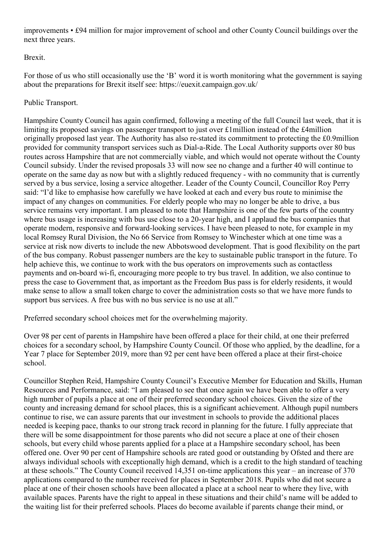improvements • £94 million for major improvement of school and other County Council buildings over the next three years.

Brexit.

For those of us who still occasionally use the 'B' word it is worth monitoring what the government is saying about the preparations for Brexit itself see: https://euexit.campaign.gov.uk/

Public Transport.

Hampshire County Council has again confirmed, following a meeting of the full Council last week, that it is limiting its proposed savings on passenger transport to just over £1million instead of the £4million originally proposed last year. The Authority has also re-stated its commitment to protecting the £0.9million provided for community transport services such as Dial-a-Ride. The Local Authority supports over 80 bus routes across Hampshire that are not commercially viable, and which would not operate without the County Council subsidy. Under the revised proposals 33 will now see no change and a further 40 will continue to operate on the same day as now but with a slightly reduced frequency - with no community that is currently served by a bus service, losing a service altogether. Leader of the County Council, Councillor Roy Perry said: "I'd like to emphasise how carefully we have looked at each and every bus route to minimise the impact of any changes on communities. For elderly people who may no longer be able to drive, a bus service remains very important. I am pleased to note that Hampshire is one of the few parts of the country where bus usage is increasing with bus use close to a 20-year high, and I applaud the bus companies that operate modern, responsive and forward-looking services. I have been pleased to note, for example in my local Romsey Rural Division, the No 66 Service from Romsey to Winchester which at one time was a service at risk now diverts to include the new Abbotswood development. That is good flexibility on the part of the bus company. Robust passenger numbers are the key to sustainable public transport in the future. To help achieve this, we continue to work with the bus operators on improvements such as contactless payments and on-board wi-fi, encouraging more people to try bus travel. In addition, we also continue to press the case to Government that, as important as the Freedom Bus pass is for elderly residents, it would make sense to allow a small token charge to cover the administration costs so that we have more funds to support bus services. A free bus with no bus service is no use at all."

Preferred secondary school choices met for the overwhelming majority.

Over 98 per cent of parents in Hampshire have been offered a place for their child, at one their preferred choices for a secondary school, by Hampshire County Council. Of those who applied, by the deadline, for a Year 7 place for September 2019, more than 92 per cent have been offered a place at their first-choice school.

Councillor Stephen Reid, Hampshire County Council's Executive Member for Education and Skills, Human Resources and Performance, said: "I am pleased to see that once again we have been able to offer a very high number of pupils a place at one of their preferred secondary school choices. Given the size of the county and increasing demand for school places, this is a significant achievement. Although pupil numbers continue to rise, we can assure parents that our investment in schools to provide the additional places needed is keeping pace, thanks to our strong track record in planning for the future. I fully appreciate that there will be some disappointment for those parents who did not secure a place at one of their chosen schools, but every child whose parents applied for a place at a Hampshire secondary school, has been offered one. Over 90 per cent of Hampshire schools are rated good or outstanding by Ofsted and there are always individual schools with exceptionally high demand, which is a credit to the high standard of teaching at these schools." The County Council received 14,351 on-time applications this year – an increase of 370 applications compared to the number received for places in September 2018. Pupils who did not secure a place at one of their chosen schools have been allocated a place at a school near to where they live, with available spaces. Parents have the right to appeal in these situations and their child's name will be added to the waiting list for their preferred schools. Places do become available if parents change their mind, or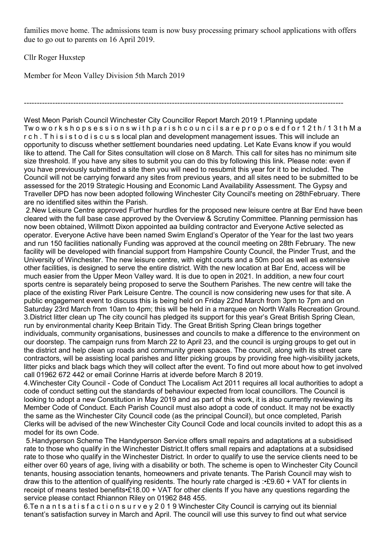families move home. The admissions team is now busy processing primary school applications with offers due to go out to parents on 16 April 2019.

---------------------------------------------------------------------------------------------------------------------------

Cllr Roger Huxstep

Member for Meon Valley Division 5th March 2019

West Meon Parish Council Winchester City Councillor Report March 2019 1.Planning update Tw o w o r k s h o p s e s s i o n s w i t h p a r i s h c o u n c i l s a r e p r o p o s e d f o r 1 2 t h / 1 3 t h M a r c h . T h i s i s t o d i s c u s s local plan and development management issues. This will include an opportunity to discuss whether settlement boundaries need updating. Let Kate Evans know if you would like to attend. The Call for Sites consultation will close on 8 March. This call for sites has no minimum site size threshold. If you have any sites to submit you can do this by following this link. Please note: even if you have previously submitted a site then you will need to resubmit this year for it to be included. The Council will not be carrying forward any sites from previous years, and all sites need to be submitted to be assessed for the 2019 Strategic Housing and Economic Land Availability Assessment. The Gypsy and Traveller DPD has now been adopted following Winchester City Council's meeting on 28thFebruary. There are no identified sites within the Parish.

 2.New Leisure Centre approved Further hurdles for the proposed new leisure centre at Bar End have been cleared with the full base case approved by the Overview & Scrutiny Committee. Planning permission has now been obtained, Willmott Dixon appointed aa building contractor and Everyone Active selected as operator. Everyone Active have been named Swim England's Operator of the Year for the last two years and run 150 facilities nationally Funding was approved at the council meeting on 28th February. The new facility will be developed with financial support from Hampshire County Council, the Pinder Trust, and the University of Winchester. The new leisure centre, with eight courts and a 50m pool as well as extensive other facilities, is designed to serve the entire district. With the new location at Bar End, access will be much easier from the Upper Meon Valley ward. It is due to open in 2021. In addition, a new four court sports centre is separately being proposed to serve the Southern Parishes. The new centre will take the place of the existing River Park Leisure Centre. The council is now considering new uses for that site. A public engagement event to discuss this is being held on Friday 22nd March from 3pm to 7pm and on Saturday 23rd March from 10am to 4pm; this will be held in a marquee on North Walls Recreation Ground. 3.District litter clean up The city council has pledged its support for this year's Great British Spring Clean, run by environmental charity Keep Britain Tidy. The Great British Spring Clean brings together individuals, community organisations, businesses and councils to make a difference to the environment on our doorstep. The campaign runs from March 22 to April 23, and the council is urging groups to get out in the district and help clean up roads and community green spaces. The council, along with its street care contractors, will be assisting local parishes and litter picking groups by providing free high-visibility jackets, litter picks and black bags which they will collect after the event. To find out more about how to get involved call 01962 672 442 or email Corinne Harris at idverde before March 8 2019.

4.Winchester City Council - Code of Conduct The Localism Act 2011 requires all local authorities to adopt a code of conduct setting out the standards of behaviour expected from local councillors. The Council is looking to adopt a new Constitution in May 2019 and as part of this work, it is also currently reviewing its Member Code of Conduct. Each Parish Council must also adopt a code of conduct. It may not be exactly the same as the Winchester City Council code (as the principal Council), but once completed, Parish Clerks will be advised of the new Winchester City Council Code and local councils invited to adopt this as a model for its own Code.

 5.Handyperson Scheme The Handyperson Service offers small repairs and adaptations at a subsidised rate to those who qualify in the Winchester District.It offers small repairs and adaptations at a subsidised rate to those who qualify in the Winchester District. In order to qualify to use the service clients need to be either over 60 years of age, living with a disability or both. The scheme is open to Winchester City Council tenants, housing association tenants, homeowners and private tenants. The Parish Council may wish to draw this to the attention of qualifying residents. The hourly rate charged is :•£9.60 + VAT for clients in receipt of means tested benefits•£18.00 + VAT for other clients If you have any questions regarding the service please contact Rhiannon Riley on 01962 848 455.

6.Te n a n t s a t i s f a c t i o n s u r v e y 2 0 1 9 Winchester City Council is carrying out its biennial tenant's satisfaction survey in March and April. The council will use this survey to find out what service